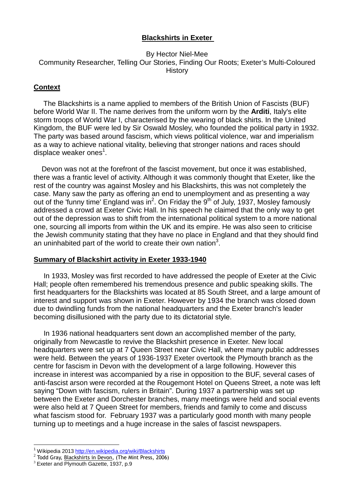## **Blackshirts in Exeter**

#### By Hector Niel-Mee Community Researcher, Telling Our Stories, Finding Our Roots; Exeter's Multi-Coloured **History**

#### **Context**

 The Blackshirts is a name applied to members of the British Union of Fascists (BUF) before World War II. The name derives from the uniform worn by the **Arditi**, Italy's elite storm troops of World War I, characterised by the wearing of black shirts. In the United Kingdom, the BUF were led by Sir Oswald Mosley, who founded the political party in 1932. The party was based around fascism, which views political violence, war and imperialism as a way to achieve national vitality, believing that stronger nations and races should displace weaker ones<sup>1</sup>.

 Devon was not at the forefront of the fascist movement, but once it was established, there was a frantic level of activity. Although it was commonly thought that Exeter, like the rest of the country was against Mosley and his Blackshirts, this was not completely the case. Many saw the party as offering an end to unemployment and as presenting a way out of the 'funny time' England was in<sup>2</sup>. On Friday the 9<sup>th</sup> of July, 1937, Mosley famously addressed a crowd at Exeter Civic Hall. In his speech he claimed that the only way to get out of the depression was to shift from the international political system to a more national one, sourcing all imports from within the UK and its empire. He was also seen to criticise the Jewish community stating that they have no place in England and that they should find an uninhabited part of the world to create their own nation<sup>3</sup>.

## **Summary of Blackshirt activity in Exeter 1933-1940**

 In 1933, Mosley was first recorded to have addressed the people of Exeter at the Civic Hall; people often remembered his tremendous presence and public speaking skills. The first headquarters for the Blackshirts was located at 85 South Street, and a large amount of interest and support was shown in Exeter. However by 1934 the branch was closed down due to dwindling funds from the national headquarters and the Exeter branch's leader becoming disillusioned with the party due to its dictatorial style.

 In 1936 national headquarters sent down an accomplished member of the party, originally from Newcastle to revive the Blackshirt presence in Exeter. New local headquarters were set up at 7 Queen Street near Civic Hall, where many public addresses were held. Between the years of 1936-1937 Exeter overtook the Plymouth branch as the centre for fascism in Devon with the development of a large following. However this increase in interest was accompanied by a rise in opposition to the BUF, several cases of anti-fascist arson were recorded at the Rougemont Hotel on Queens Street, a note was left saying "Down with fascism, rulers in Britain". During 1937 a partnership was set up between the Exeter and Dorchester branches, many meetings were held and social events were also held at 7 Queen Street for members, friends and family to come and discuss what fascism stood for. February 1937 was a particularly good month with many people turning up to meetings and a huge increase in the sales of fascist newspapers.

 $\overline{a}$ 1 Wikipedia 2013 http://en.wikipedia.org/wiki/Blackshirts

 $^2$  Todd Gray, Blackshirts in Devon, (The Mint Press, 2006)

 $3$  Exeter and Plymouth Gazette, 1937, p.9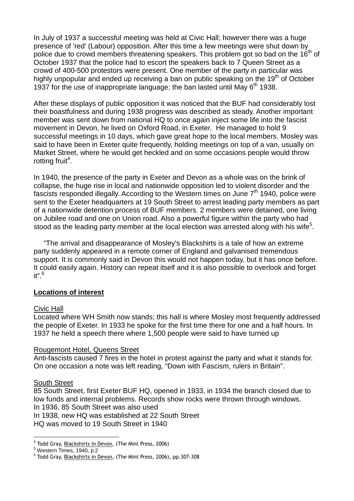In July of 1937 a successful meeting was held at Civic Hall; however there was a huge presence of 'red' (Labour) opposition. After this time a few meetings were shut down by police due to crowd members threatening speakers. This problem got so bad on the  $16<sup>th</sup>$  of October 1937 that the police had to escort the speakers back to 7 Queen Street as a crowd of 400-500 protestors were present. One member of the party in particular was highly unpopular and ended up receiving a ban on public speaking on the  $19<sup>th</sup>$  of October 1937 for the use of inappropriate language; the ban lasted until May  $6<sup>th</sup>$  1938.

After these displays of public opposition it was noticed that the BUF had considerably lost their boastfulness and during 1938 progress was described as steady. Another important member was sent down from national HQ to once again inject some life into the fascist movement in Devon, he lived on Oxford Road, in Exeter. He managed to hold 9 successful meetings in 10 days, which gave great hope to the local members. Mosley was said to have been in Exeter quite frequently, holding meetings on top of a van, usually on Market Street, where he would get heckled and on some occasions people would throw rotting fruit<sup>4</sup>.

In 1940, the presence of the party in Exeter and Devon as a whole was on the brink of collapse, the huge rise in local and nationwide opposition led to violent disorder and the fascists responded illegally. According to the Western times on June  $7<sup>th</sup>$  1940, police were sent to the Exeter headquarters at 19 South Street to arrest leading party members as part of a nationwide detention process of BUF members. 2 members were detained, one living on Jubilee road and one on Union road. Also a powerful figure within the party who had stood as the leading party member at the local election was arrested along with his wife<sup>5</sup>.

 "The arrival and disappearance of Mosley's Blackshirts is a tale of how an extreme party suddenly appeared in a remote corner of England and galvanised tremendous support. It is commonly said in Devon this would not happen today, but it has once before. It could easily again. History can repeat itself and it is also possible to overlook and forget  $it"$ <sup>6</sup>

# **Locations of interest**

#### Civic Hall

Located where WH Smith now stands; this hall is where Mosley most frequently addressed the people of Exeter. In 1933 he spoke for the first time there for one and a half hours. In 1937 he held a speech there where 1,500 people were said to have turned up

#### Rougemont Hotel, Queens Street

Anti-fascists caused 7 fires in the hotel in protest against the party and what it stands for. On one occasion a note was left reading, "Down with Fascism, rulers in Britain".

#### South Street

 $\overline{a}$ 

85 South Street, first Exeter BUF HQ, opened in 1933, in 1934 the branch closed due to low funds and internal problems. Records show rocks were thrown through windows.

In 1936, 85 South Street was also used

In 1938, new HQ was established at 22 South Street

HQ was moved to 19 South Street in 1940

<sup>&</sup>lt;sup>4</sup> Todd Gray, <u>Blackshirts in Devon,</u> (The Mint Press, 2006)

<sup>5</sup> Western Times, 1940, p.2

<sup>&</sup>lt;sup>6</sup> Todd Gray, <u>Blackshirts in Devon,</u> (The Mint Press, 2006), pp.307-308